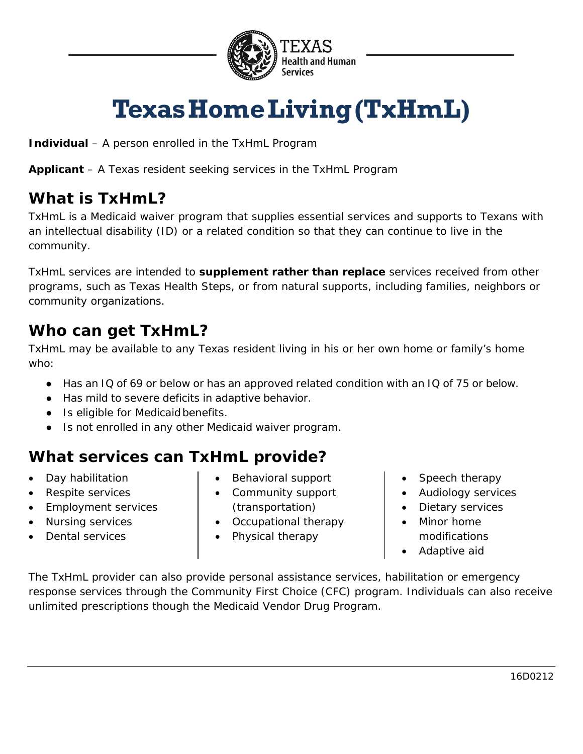

# **TexasHomeLiving(TxHmL)**

**Individual** – A person enrolled in the TxHmL Program

**Applicant** – A Texas resident seeking services in the TxHmL Program

### **What is TxHmL?**

TxHmL is a Medicaid waiver program that supplies essential services and supports to Texans with an intellectual disability (ID) or a related condition so that they can continue to live in the community.

TxHmL services are intended to **supplement rather than replace** services received from other programs, such as Texas Health Steps, or from natural supports, including families, neighbors or community organizations.

#### **Who can get TxHmL?**

TxHmL may be available to any Texas resident living in his or her own home or family's home who:

- Has an IQ of 69 or below or has an approved related condition with an IQ of 75 or below.
- Has mild to severe deficits in adaptive behavior.
- Is eligible for Medicaidbenefits.
- Is not enrolled in any other Medicaid waiver program.

### **What services can TxHmL provide?**

- Day habilitation
- Respite services
- Employment services
- Nursing services
- Dental services
- Behavioral support
- Community support (transportation)
- Occupational therapy
- Physical therapy
- Speech therapy
- Audiology services
- Dietary services
- Minor home modifications
- Adaptive aid

The TxHmL provider can also provide personal assistance services, habilitation or emergency response services through the Community First Choice (CFC) program. Individuals can also receive unlimited prescriptions though the Medicaid Vendor Drug Program.